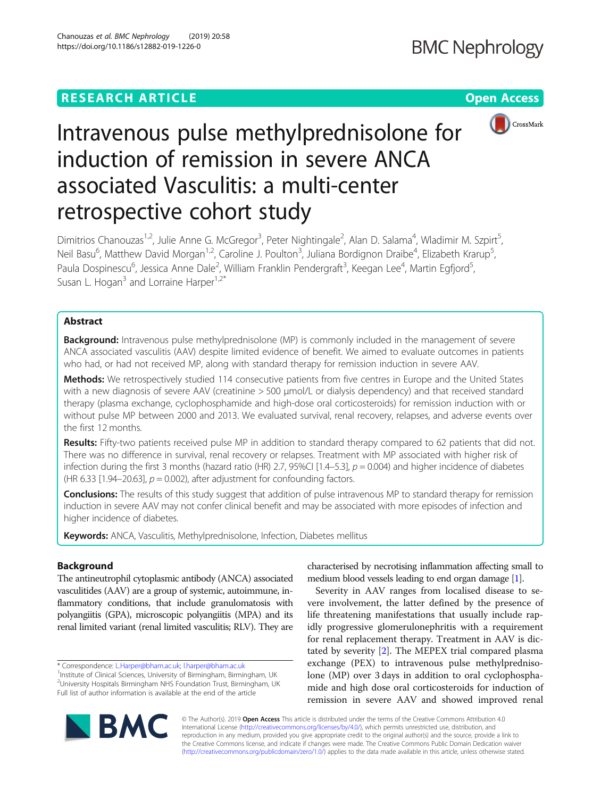# **RESEARCH ARTICLE Example 2018 12:30 THE Open Access**



# Intravenous pulse methylprednisolone for induction of remission in severe ANCA associated Vasculitis: a multi-center retrospective cohort study

Dimitrios Chanouzas<sup>1,2</sup>, Julie Anne G. McGregor<sup>3</sup>, Peter Nightingale<sup>2</sup>, Alan D. Salama<sup>4</sup>, Wladimir M. Szpirt<sup>5</sup> , Neil Basu<sup>6</sup>, Matthew David Morgan<sup>1,2</sup>, Caroline J. Poulton<sup>3</sup>, Juliana Bordignon Draibe<sup>4</sup>, Elizabeth Krarup<sup>5</sup> , Paula Dospinescu<sup>6</sup>, Jessica Anne Dale<sup>2</sup>, William Franklin Pendergraft<sup>3</sup>, Keegan Lee<sup>4</sup>, Martin Egfjord<sup>5</sup> , Susan L. Hogan<sup>3</sup> and Lorraine Harper<sup>1,2\*</sup>

# Abstract

**Background:** Intravenous pulse methylprednisolone (MP) is commonly included in the management of severe ANCA associated vasculitis (AAV) despite limited evidence of benefit. We aimed to evaluate outcomes in patients who had, or had not received MP, along with standard therapy for remission induction in severe AAV.

Methods: We retrospectively studied 114 consecutive patients from five centres in Europe and the United States with a new diagnosis of severe AAV (creatinine > 500 μmol/L or dialysis dependency) and that received standard therapy (plasma exchange, cyclophosphamide and high-dose oral corticosteroids) for remission induction with or without pulse MP between 2000 and 2013. We evaluated survival, renal recovery, relapses, and adverse events over the first 12 months.

Results: Fifty-two patients received pulse MP in addition to standard therapy compared to 62 patients that did not. There was no difference in survival, renal recovery or relapses. Treatment with MP associated with higher risk of infection during the first 3 months (hazard ratio (HR) 2.7, 95%CI [1.4–5.3],  $p = 0.004$ ) and higher incidence of diabetes (HR 6.33 [1.94–20.63],  $p = 0.002$ ), after adjustment for confounding factors.

Conclusions: The results of this study suggest that addition of pulse intravenous MP to standard therapy for remission induction in severe AAV may not confer clinical benefit and may be associated with more episodes of infection and higher incidence of diabetes.

Keywords: ANCA, Vasculitis, Methylprednisolone, Infection, Diabetes mellitus

# Background

The antineutrophil cytoplasmic antibody (ANCA) associated vasculitides (AAV) are a group of systemic, autoimmune, inflammatory conditions, that include granulomatosis with polyangiitis (GPA), microscopic polyangiitis (MPA) and its renal limited variant (renal limited vasculitis; RLV). They are

\* Correspondence: [L.Harper@bham.ac.uk](mailto:L.Harper@bham.ac.uk); [l.harper@bham.ac.uk](mailto:l.harper@bham.ac.uk) <sup>1</sup>

<sup>1</sup>Institute of Clinical Sciences, University of Birmingham, Birmingham, UK <sup>2</sup>University Hospitals Birmingham NHS Foundation Trust, Birmingham, UK Full list of author information is available at the end of the article

characterised by necrotising inflammation affecting small to medium blood vessels leading to end organ damage [\[1\]](#page-7-0).

Severity in AAV ranges from localised disease to severe involvement, the latter defined by the presence of life threatening manifestations that usually include rapidly progressive glomerulonephritis with a requirement for renal replacement therapy. Treatment in AAV is dictated by severity [\[2](#page-7-0)]. The MEPEX trial compared plasma exchange (PEX) to intravenous pulse methylprednisolone (MP) over 3 days in addition to oral cyclophosphamide and high dose oral corticosteroids for induction of remission in severe AAV and showed improved renal



© The Author(s). 2019 Open Access This article is distributed under the terms of the Creative Commons Attribution 4.0 International License [\(http://creativecommons.org/licenses/by/4.0/](http://creativecommons.org/licenses/by/4.0/)), which permits unrestricted use, distribution, and reproduction in any medium, provided you give appropriate credit to the original author(s) and the source, provide a link to the Creative Commons license, and indicate if changes were made. The Creative Commons Public Domain Dedication waiver [\(http://creativecommons.org/publicdomain/zero/1.0/](http://creativecommons.org/publicdomain/zero/1.0/)) applies to the data made available in this article, unless otherwise stated.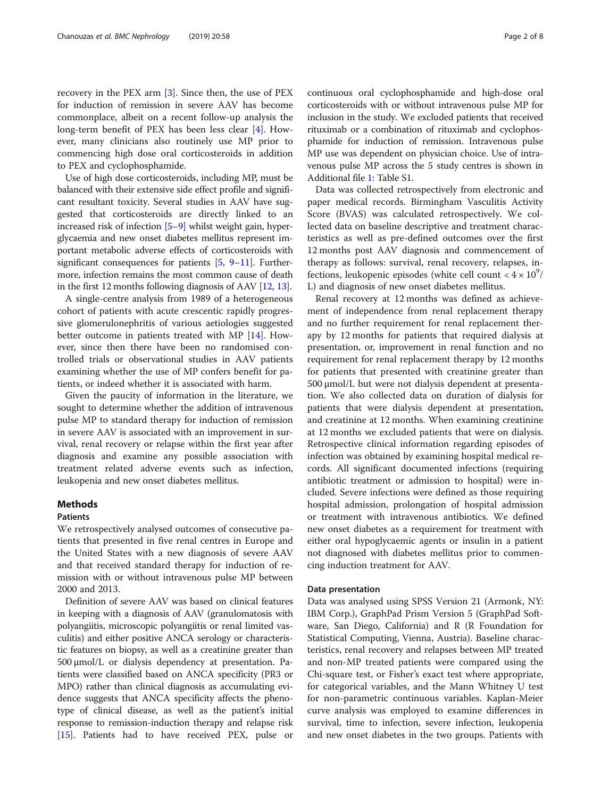recovery in the PEX arm [\[3\]](#page-7-0). Since then, the use of PEX for induction of remission in severe AAV has become commonplace, albeit on a recent follow-up analysis the long-term benefit of PEX has been less clear [\[4](#page-7-0)]. However, many clinicians also routinely use MP prior to commencing high dose oral corticosteroids in addition to PEX and cyclophosphamide.

Use of high dose corticosteroids, including MP, must be balanced with their extensive side effect profile and significant resultant toxicity. Several studies in AAV have suggested that corticosteroids are directly linked to an increased risk of infection [\[5](#page-7-0)–[9](#page-7-0)] whilst weight gain, hyperglycaemia and new onset diabetes mellitus represent important metabolic adverse effects of corticosteroids with significant consequences for patients  $[5, 9-11]$  $[5, 9-11]$  $[5, 9-11]$  $[5, 9-11]$  $[5, 9-11]$ . Furthermore, infection remains the most common cause of death in the first 12 months following diagnosis of AAV [\[12,](#page-7-0) [13](#page-7-0)].

A single-centre analysis from 1989 of a heterogeneous cohort of patients with acute crescentic rapidly progressive glomerulonephritis of various aetiologies suggested better outcome in patients treated with MP [\[14](#page-7-0)]. However, since then there have been no randomised controlled trials or observational studies in AAV patients examining whether the use of MP confers benefit for patients, or indeed whether it is associated with harm.

Given the paucity of information in the literature, we sought to determine whether the addition of intravenous pulse MP to standard therapy for induction of remission in severe AAV is associated with an improvement in survival, renal recovery or relapse within the first year after diagnosis and examine any possible association with treatment related adverse events such as infection, leukopenia and new onset diabetes mellitus.

#### Methods

### Patients

We retrospectively analysed outcomes of consecutive patients that presented in five renal centres in Europe and the United States with a new diagnosis of severe AAV and that received standard therapy for induction of remission with or without intravenous pulse MP between 2000 and 2013.

Definition of severe AAV was based on clinical features in keeping with a diagnosis of AAV (granulomatosis with polyangiitis, microscopic polyangiitis or renal limited vasculitis) and either positive ANCA serology or characteristic features on biopsy, as well as a creatinine greater than 500 μmol/L or dialysis dependency at presentation. Patients were classified based on ANCA specificity (PR3 or MPO) rather than clinical diagnosis as accumulating evidence suggests that ANCA specificity affects the phenotype of clinical disease, as well as the patient's initial response to remission-induction therapy and relapse risk [[15](#page-7-0)]. Patients had to have received PEX, pulse or continuous oral cyclophosphamide and high-dose oral corticosteroids with or without intravenous pulse MP for inclusion in the study. We excluded patients that received rituximab or a combination of rituximab and cyclophosphamide for induction of remission. Intravenous pulse MP use was dependent on physician choice. Use of intravenous pulse MP across the 5 study centres is shown in Additional file [1](#page-6-0): Table S1.

Data was collected retrospectively from electronic and paper medical records. Birmingham Vasculitis Activity Score (BVAS) was calculated retrospectively. We collected data on baseline descriptive and treatment characteristics as well as pre-defined outcomes over the first 12 months post AAV diagnosis and commencement of therapy as follows: survival, renal recovery, relapses, infections, leukopenic episodes (white cell count  $<$  4  $\times$  10<sup>9</sup>/ L) and diagnosis of new onset diabetes mellitus.

Renal recovery at 12 months was defined as achievement of independence from renal replacement therapy and no further requirement for renal replacement therapy by 12 months for patients that required dialysis at presentation, or, improvement in renal function and no requirement for renal replacement therapy by 12 months for patients that presented with creatinine greater than 500 μmol/L but were not dialysis dependent at presentation. We also collected data on duration of dialysis for patients that were dialysis dependent at presentation, and creatinine at 12 months. When examining creatinine at 12 months we excluded patients that were on dialysis. Retrospective clinical information regarding episodes of infection was obtained by examining hospital medical records. All significant documented infections (requiring antibiotic treatment or admission to hospital) were included. Severe infections were defined as those requiring hospital admission, prolongation of hospital admission or treatment with intravenous antibiotics. We defined new onset diabetes as a requirement for treatment with either oral hypoglycaemic agents or insulin in a patient not diagnosed with diabetes mellitus prior to commencing induction treatment for AAV.

#### Data presentation

Data was analysed using SPSS Version 21 (Armonk, NY: IBM Corp.), GraphPad Prism Version 5 (GraphPad Software, San Diego, California) and R (R Foundation for Statistical Computing, Vienna, Austria). Baseline characteristics, renal recovery and relapses between MP treated and non-MP treated patients were compared using the Chi-square test, or Fisher's exact test where appropriate, for categorical variables, and the Mann Whitney U test for non-parametric continuous variables. Kaplan-Meier curve analysis was employed to examine differences in survival, time to infection, severe infection, leukopenia and new onset diabetes in the two groups. Patients with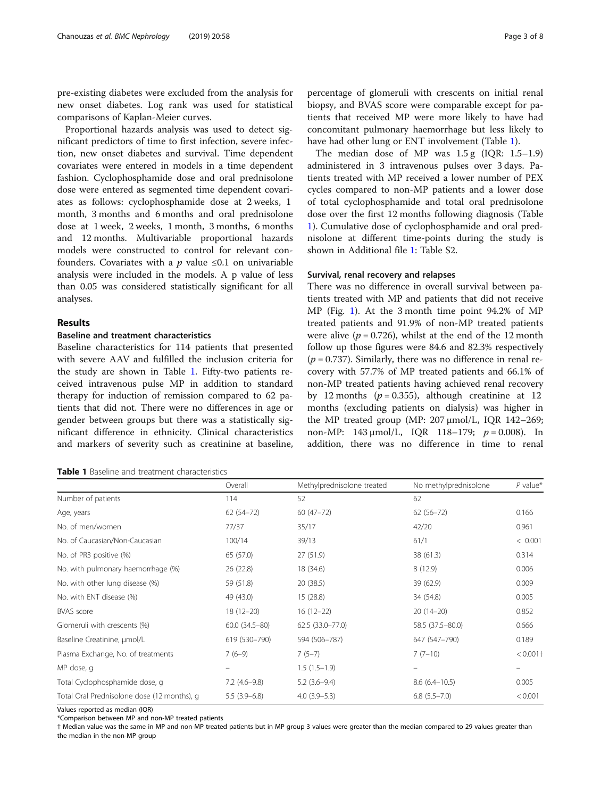pre-existing diabetes were excluded from the analysis for new onset diabetes. Log rank was used for statistical comparisons of Kaplan-Meier curves.

Proportional hazards analysis was used to detect significant predictors of time to first infection, severe infection, new onset diabetes and survival. Time dependent covariates were entered in models in a time dependent fashion. Cyclophosphamide dose and oral prednisolone dose were entered as segmented time dependent covariates as follows: cyclophosphamide dose at 2 weeks, 1 month, 3 months and 6 months and oral prednisolone dose at 1 week, 2 weeks, 1 month, 3 months, 6 months and 12 months. Multivariable proportional hazards models were constructed to control for relevant confounders. Covariates with a  $p$  value  $\leq 0.1$  on univariable analysis were included in the models. A p value of less than 0.05 was considered statistically significant for all analyses.

## Results

# Baseline and treatment characteristics

Baseline characteristics for 114 patients that presented with severe AAV and fulfilled the inclusion criteria for the study are shown in Table 1. Fifty-two patients received intravenous pulse MP in addition to standard therapy for induction of remission compared to 62 patients that did not. There were no differences in age or gender between groups but there was a statistically significant difference in ethnicity. Clinical characteristics and markers of severity such as creatinine at baseline,

| <b>Table 1</b> Baseline and treatment characteristics |
|-------------------------------------------------------|
|-------------------------------------------------------|

percentage of glomeruli with crescents on initial renal biopsy, and BVAS score were comparable except for patients that received MP were more likely to have had concomitant pulmonary haemorrhage but less likely to have had other lung or ENT involvement (Table 1).

The median dose of MP was 1.5 g (IQR: 1.5–1.9) administered in 3 intravenous pulses over 3 days. Patients treated with MP received a lower number of PEX cycles compared to non-MP patients and a lower dose of total cyclophosphamide and total oral prednisolone dose over the first 12 months following diagnosis (Table 1). Cumulative dose of cyclophosphamide and oral prednisolone at different time-points during the study is shown in Additional file [1](#page-6-0): Table S2.

# Survival, renal recovery and relapses

There was no difference in overall survival between patients treated with MP and patients that did not receive MP (Fig. [1\)](#page-3-0). At the 3 month time point 94.2% of MP treated patients and 91.9% of non-MP treated patients were alive ( $p = 0.726$ ), whilst at the end of the 12 month follow up those figures were 84.6 and 82.3% respectively  $(p = 0.737)$ . Similarly, there was no difference in renal recovery with 57.7% of MP treated patients and 66.1% of non-MP treated patients having achieved renal recovery by 12 months ( $p = 0.355$ ), although creatinine at 12 months (excluding patients on dialysis) was higher in the MP treated group (MP: 207 μmol/L, IQR 142–269; non-MP:  $143 \mu$ mol/L, IQR  $118-179$ ;  $p = 0.008$ ). In addition, there was no difference in time to renal

|                                             | Overall              | Methylprednisolone treated | No methylprednisolone | $P$ value*  |
|---------------------------------------------|----------------------|----------------------------|-----------------------|-------------|
| Number of patients                          | 114                  | 52                         | 62                    |             |
| Age, years                                  | $62(54 - 72)$        | $60(47-72)$                | $62(56 - 72)$         | 0.166       |
| No. of men/women                            | 77/37                | 35/17                      | 42/20                 | 0.961       |
| No. of Caucasian/Non-Caucasian              | 100/14               | 39/13                      | 61/1                  | < 0.001     |
| No. of PR3 positive (%)                     | 65 (57.0)            | 27(51.9)                   | 38(61.3)              | 0.314       |
| No. with pulmonary haemorrhage (%)          | 26 (22.8)            | 18 (34.6)                  | 8(12.9)               | 0.006       |
| No. with other lung disease (%)             | 59 (51.8)            | 20 (38.5)                  | 39 (62.9)             | 0.009       |
| No. with ENT disease (%)                    | 49 (43.0)            | 15 (28.8)                  | 34 (54.8)             | 0.005       |
| <b>BVAS</b> score                           | $18(12 - 20)$        | $16(12-22)$                | $20(14-20)$           | 0.852       |
| Glomeruli with crescents (%)                | $60.0$ $(34.5 - 80)$ | 62.5 (33.0-77.0)           | 58.5 (37.5 - 80.0)    | 0.666       |
| Baseline Creatinine, µmol/L                 | 619 (530-790)        | 594 (506-787)              | 647 (547-790)         | 0.189       |
| Plasma Exchange, No. of treatments          | $7(6-9)$             | $7(5-7)$                   | $7(7-10)$             | $< 0.001$ † |
| MP dose, q                                  |                      | $1.5(1.5-1.9)$             |                       |             |
| Total Cyclophosphamide dose, q              | $7.2(4.6-9.8)$       | $5.2(3.6-9.4)$             | $8.6(6.4 - 10.5)$     | 0.005       |
| Total Oral Prednisolone dose (12 months), q | $5.5(3.9-6.8)$       | $4.0(3.9-5.3)$             | $6.8$ $(5.5 - 7.0)$   | < 0.001     |

Values reported as median (IQR)

\*Comparison between MP and non-MP treated patients

† Median value was the same in MP and non-MP treated patients but in MP group 3 values were greater than the median compared to 29 values greater than the median in the non-MP group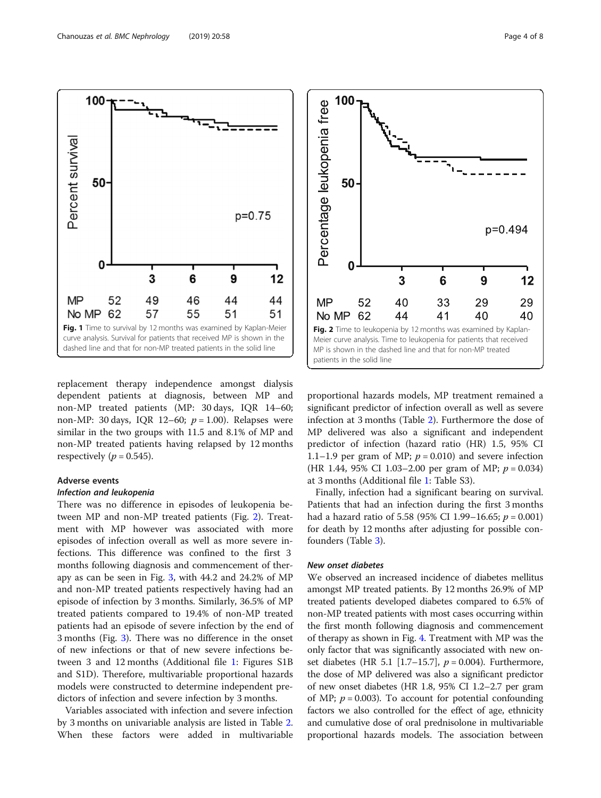replacement therapy independence amongst dialysis dependent patients at diagnosis, between MP and non-MP treated patients (MP: 30 days, IQR 14–60; non-MP: 30 days, IOR 12–60;  $p = 1.00$ ). Relapses were similar in the two groups with 11.5 and 8.1% of MP and non-MP treated patients having relapsed by 12 months respectively ( $p = 0.545$ ).

# Adverse events

#### Infection and leukopenia

There was no difference in episodes of leukopenia between MP and non-MP treated patients (Fig. 2). Treatment with MP however was associated with more episodes of infection overall as well as more severe infections. This difference was confined to the first 3 months following diagnosis and commencement of therapy as can be seen in Fig. [3,](#page-4-0) with 44.2 and 24.2% of MP and non-MP treated patients respectively having had an episode of infection by 3 months. Similarly, 36.5% of MP treated patients compared to 19.4% of non-MP treated patients had an episode of severe infection by the end of 3 months (Fig. [3\)](#page-4-0). There was no difference in the onset of new infections or that of new severe infections between 3 and 12 months (Additional file [1](#page-6-0): Figures S1B and S1D). Therefore, multivariable proportional hazards models were constructed to determine independent predictors of infection and severe infection by 3 months.

Variables associated with infection and severe infection by 3 months on univariable analysis are listed in Table [2](#page-4-0). When these factors were added in multivariable

proportional hazards models, MP treatment remained a significant predictor of infection overall as well as severe infection at 3 months (Table [2](#page-4-0)). Furthermore the dose of MP delivered was also a significant and independent predictor of infection (hazard ratio (HR) 1.5, 95% CI 1.1–1.9 per gram of MP;  $p = 0.010$ ) and severe infection (HR 1.44, 95% CI 1.03–2.00 per gram of MP;  $p = 0.034$ ) at 3 months (Additional file [1](#page-6-0): Table S3).

Finally, infection had a significant bearing on survival. Patients that had an infection during the first 3 months had a hazard ratio of 5.58 (95% CI 1.99-16.65;  $p = 0.001$ ) for death by 12 months after adjusting for possible confounders (Table [3\)](#page-5-0).

## New onset diabetes

We observed an increased incidence of diabetes mellitus amongst MP treated patients. By 12 months 26.9% of MP treated patients developed diabetes compared to 6.5% of non-MP treated patients with most cases occurring within the first month following diagnosis and commencement of therapy as shown in Fig. [4](#page-5-0). Treatment with MP was the only factor that was significantly associated with new onset diabetes (HR 5.1 [1.7–15.7],  $p = 0.004$ ). Furthermore, the dose of MP delivered was also a significant predictor of new onset diabetes (HR 1.8, 95% CI 1.2–2.7 per gram of MP;  $p = 0.003$ ). To account for potential confounding factors we also controlled for the effect of age, ethnicity and cumulative dose of oral prednisolone in multivariable proportional hazards models. The association between

<span id="page-3-0"></span>

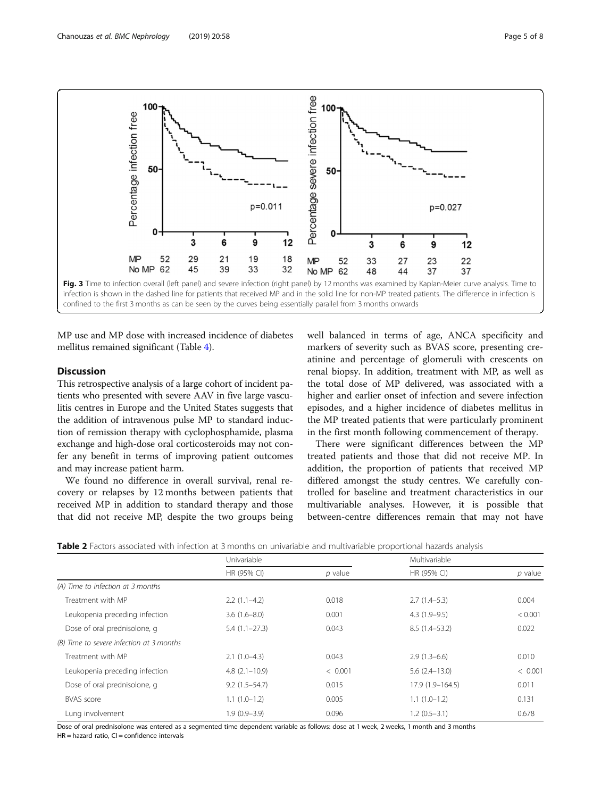<span id="page-4-0"></span>

MP use and MP dose with increased incidence of diabetes mellitus remained significant (Table [4](#page-5-0)).

# Discussion

This retrospective analysis of a large cohort of incident patients who presented with severe AAV in five large vasculitis centres in Europe and the United States suggests that the addition of intravenous pulse MP to standard induction of remission therapy with cyclophosphamide, plasma exchange and high-dose oral corticosteroids may not confer any benefit in terms of improving patient outcomes and may increase patient harm.

We found no difference in overall survival, renal recovery or relapses by 12 months between patients that received MP in addition to standard therapy and those that did not receive MP, despite the two groups being well balanced in terms of age, ANCA specificity and markers of severity such as BVAS score, presenting creatinine and percentage of glomeruli with crescents on renal biopsy. In addition, treatment with MP, as well as the total dose of MP delivered, was associated with a higher and earlier onset of infection and severe infection episodes, and a higher incidence of diabetes mellitus in the MP treated patients that were particularly prominent in the first month following commencement of therapy.

There were significant differences between the MP treated patients and those that did not receive MP. In addition, the proportion of patients that received MP differed amongst the study centres. We carefully controlled for baseline and treatment characteristics in our multivariable analyses. However, it is possible that between-centre differences remain that may not have

| Table 2 Factors associated with infection at 3 months on univariable and multivariable proportional hazards analysis |  |
|----------------------------------------------------------------------------------------------------------------------|--|
|----------------------------------------------------------------------------------------------------------------------|--|

|                                          | Univariable          |           | Multivariable     |           |  |
|------------------------------------------|----------------------|-----------|-------------------|-----------|--|
|                                          | HR (95% CI)          | $p$ value | HR (95% CI)       | $p$ value |  |
| (A) Time to infection at 3 months        |                      |           |                   |           |  |
| Treatment with MP                        | $2.2(1.1-4.2)$       | 0.018     | $2.7(1.4-5.3)$    | 0.004     |  |
| Leukopenia preceding infection           | $3.6(1.6 - 8.0)$     | 0.001     | $4.3(1.9-9.5)$    | < 0.001   |  |
| Dose of oral prednisolone, q             | $5.4(1.1-27.3)$      | 0.043     | $8.5(1.4 - 53.2)$ | 0.022     |  |
| (B) Time to severe infection at 3 months |                      |           |                   |           |  |
| Treatment with MP                        | $2.1(1.0-4.3)$       | 0.043     | $2.9(1.3-6.6)$    | 0.010     |  |
| Leukopenia preceding infection           | $4.8$ $(2.1 - 10.9)$ | < 0.001   | $5.6(2.4-13.0)$   | < 0.001   |  |
| Dose of oral prednisolone, q             | $9.2(1.5-54.7)$      | 0.015     | 17.9 (1.9-164.5)  | 0.011     |  |
| <b>BVAS</b> score                        | $1.1(1.0-1.2)$       | 0.005     | $1.1(1.0-1.2)$    | 0.131     |  |
| Lung involvement                         | $1.9(0.9-3.9)$       | 0.096     | $1.2(0.5-3.1)$    | 0.678     |  |

Dose of oral prednisolone was entered as a segmented time dependent variable as follows: dose at 1 week, 2 weeks, 1 month and 3 months  $HR =$  hazard ratio,  $CI =$  confidence intervals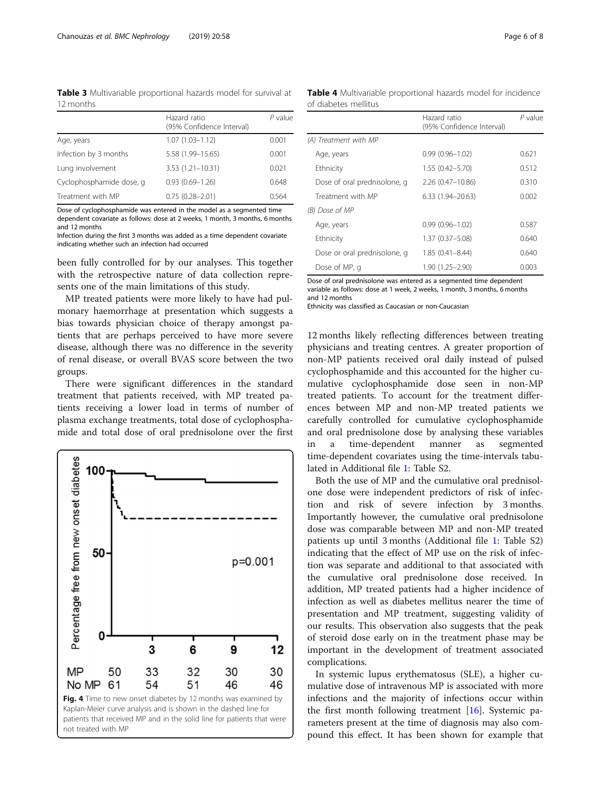<span id="page-5-0"></span>Table 3 Multivariable proportional hazards model for survival at 12 months

|                          | Hazard ratio<br>(95% Confidence Interval) | $P$ value |
|--------------------------|-------------------------------------------|-----------|
| Age, years               | $1.07(1.03 - 1.12)$                       | 0.001     |
| Infection by 3 months    | 5.58 (1.99-15.65)                         | 0.001     |
| Lung involvement         | $3.53(1.21 - 10.31)$                      | 0.021     |
| Cyclophosphamide dose, q | $0.93(0.69 - 1.26)$                       | 0.648     |
| Treatment with MP        | $0.75(0.28 - 2.01)$                       | 0.564     |

Dose of cyclophosphamide was entered in the model as a segmented time dependent covariate as follows: dose at 2 weeks, 1 month, 3 months, 6 months and 12 months

Infection during the first 3 months was added as a time dependent covariate indicating whether such an infection had occurred

been fully controlled for by our analyses. This together with the retrospective nature of data collection represents one of the main limitations of this study.

MP treated patients were more likely to have had pulmonary haemorrhage at presentation which suggests a bias towards physician choice of therapy amongst patients that are perhaps perceived to have more severe disease, although there was no difference in the severity of renal disease, or overall BVAS score between the two groups.

There were significant differences in the standard treatment that patients received, with MP treated patients receiving a lower load in terms of number of plasma exchange treatments, total dose of cyclophosphamide and total dose of oral prednisolone over the first



Table 4 Multivariable proportional hazards model for incidence of diabetes mellitus

|                              | Hazard ratio<br>(95% Confidence Interval) | $P$ value |
|------------------------------|-------------------------------------------|-----------|
| (A) Treatment with MP        |                                           |           |
| Age, years                   | $0.99(0.96 - 1.02)$                       | 0.621     |
| Ethnicity                    | $1.55(0.42 - 5.70)$                       | 0.512     |
| Dose of oral prednisolone, q | $2.26(0.47 - 10.86)$                      | 0.310     |
| Treatment with MP            | $6.33(1.94 - 20.63)$                      | 0.002     |
| (B) Dose of MP               |                                           |           |
| Age, years                   | $0.99(0.96 - 1.02)$                       | 0.587     |
| Ethnicity                    | 1.37 (0.37-5.08)                          | 0.640     |
| Dose or oral prednisolone, q | $1.85(0.41 - 8.44)$                       | 0.640     |
| Dose of MP, q                | 1.90 (1.25-2.90)                          | 0.003     |
| _ _ _ _                      |                                           |           |

Dose of oral prednisolone was entered as a segmented time dependent variable as follows: dose at 1 week, 2 weeks, 1 month, 3 months, 6 months and 12 months

Ethnicity was classified as Caucasian or non-Caucasian

12 months likely reflecting differences between treating physicians and treating centres. A greater proportion of non-MP patients received oral daily instead of pulsed cyclophosphamide and this accounted for the higher cumulative cyclophosphamide dose seen in non-MP treated patients. To account for the treatment differences between MP and non-MP treated patients we carefully controlled for cumulative cyclophosphamide and oral prednisolone dose by analysing these variables in a time-dependent manner as segmented time-dependent covariates using the time-intervals tabulated in Additional file [1:](#page-6-0) Table S2.

Both the use of MP and the cumulative oral prednisolone dose were independent predictors of risk of infection and risk of severe infection by 3 months. Importantly however, the cumulative oral prednisolone dose was comparable between MP and non-MP treated patients up until 3 months (Additional file [1:](#page-6-0) Table S2) indicating that the effect of MP use on the risk of infection was separate and additional to that associated with the cumulative oral prednisolone dose received. In addition, MP treated patients had a higher incidence of infection as well as diabetes mellitus nearer the time of presentation and MP treatment, suggesting validity of our results. This observation also suggests that the peak of steroid dose early on in the treatment phase may be important in the development of treatment associated complications.

In systemic lupus erythematosus (SLE), a higher cumulative dose of intravenous MP is associated with more infections and the majority of infections occur within the first month following treatment [\[16\]](#page-7-0). Systemic parameters present at the time of diagnosis may also compound this effect. It has been shown for example that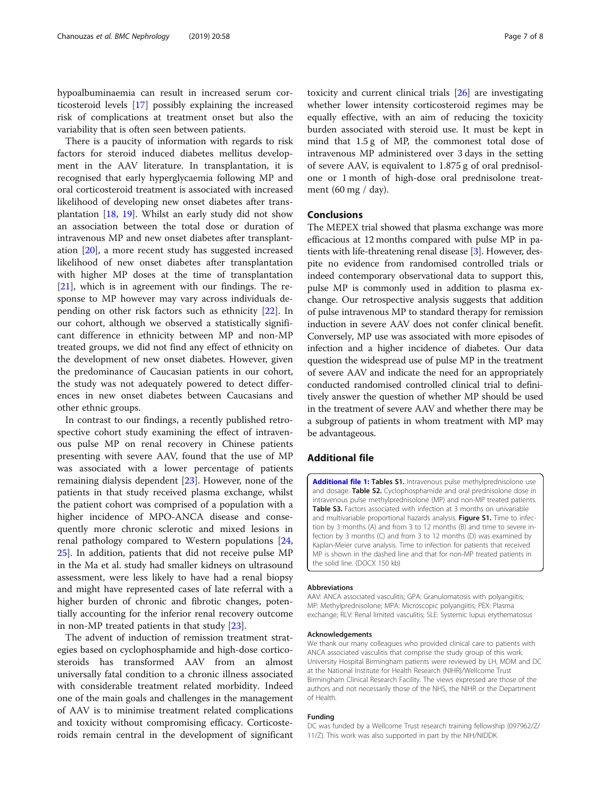<span id="page-6-0"></span>hypoalbuminaemia can result in increased serum corticosteroid levels [\[17\]](#page-7-0) possibly explaining the increased risk of complications at treatment onset but also the variability that is often seen between patients.

There is a paucity of information with regards to risk factors for steroid induced diabetes mellitus development in the AAV literature. In transplantation, it is recognised that early hyperglycaemia following MP and oral corticosteroid treatment is associated with increased likelihood of developing new onset diabetes after transplantation [\[18](#page-7-0), [19](#page-7-0)]. Whilst an early study did not show an association between the total dose or duration of intravenous MP and new onset diabetes after transplantation [\[20](#page-7-0)], a more recent study has suggested increased likelihood of new onset diabetes after transplantation with higher MP doses at the time of transplantation [[21\]](#page-7-0), which is in agreement with our findings. The response to MP however may vary across individuals depending on other risk factors such as ethnicity [[22](#page-7-0)]. In our cohort, although we observed a statistically significant difference in ethnicity between MP and non-MP treated groups, we did not find any effect of ethnicity on the development of new onset diabetes. However, given the predominance of Caucasian patients in our cohort, the study was not adequately powered to detect differences in new onset diabetes between Caucasians and other ethnic groups.

In contrast to our findings, a recently published retrospective cohort study examining the effect of intravenous pulse MP on renal recovery in Chinese patients presenting with severe AAV, found that the use of MP was associated with a lower percentage of patients remaining dialysis dependent [\[23\]](#page-7-0). However, none of the patients in that study received plasma exchange, whilst the patient cohort was comprised of a population with a higher incidence of MPO-ANCA disease and consequently more chronic sclerotic and mixed lesions in renal pathology compared to Western populations [[24](#page-7-0), [25\]](#page-7-0). In addition, patients that did not receive pulse MP in the Ma et al. study had smaller kidneys on ultrasound assessment, were less likely to have had a renal biopsy and might have represented cases of late referral with a higher burden of chronic and fibrotic changes, potentially accounting for the inferior renal recovery outcome in non-MP treated patients in that study [\[23](#page-7-0)].

The advent of induction of remission treatment strategies based on cyclophosphamide and high-dose corticosteroids has transformed AAV from an almost universally fatal condition to a chronic illness associated with considerable treatment related morbidity. Indeed one of the main goals and challenges in the management of AAV is to minimise treatment related complications and toxicity without compromising efficacy. Corticosteroids remain central in the development of significant

toxicity and current clinical trials [\[26](#page-7-0)] are investigating whether lower intensity corticosteroid regimes may be equally effective, with an aim of reducing the toxicity burden associated with steroid use. It must be kept in mind that 1.5 g of MP, the commonest total dose of intravenous MP administered over 3 days in the setting of severe AAV, is equivalent to 1.875 g of oral prednisolone or 1 month of high-dose oral prednisolone treatment (60 mg / day).

# **Conclusions**

The MEPEX trial showed that plasma exchange was more efficacious at 12 months compared with pulse MP in patients with life-threatening renal disease [\[3](#page-7-0)]. However, despite no evidence from randomised controlled trials or indeed contemporary observational data to support this, pulse MP is commonly used in addition to plasma exchange. Our retrospective analysis suggests that addition of pulse intravenous MP to standard therapy for remission induction in severe AAV does not confer clinical benefit. Conversely, MP use was associated with more episodes of infection and a higher incidence of diabetes. Our data question the widespread use of pulse MP in the treatment of severe AAV and indicate the need for an appropriately conducted randomised controlled clinical trial to definitively answer the question of whether MP should be used in the treatment of severe AAV and whether there may be a subgroup of patients in whom treatment with MP may be advantageous.

# Additional file

[Additional file 1:](https://doi.org/10.1186/s12882-019-1226-0) Tables S1. Intravenous pulse methylprednisolone use and dosage. Table S2. Cyclophosphamide and oral prednisolone dose in intravenous pulse methylprednisolone (MP) and non-MP treated patients. **Table S3.** Factors associated with infection at 3 months on univariable and multivariable proportional hazards analysis. Figure S1. Time to infection by 3 months (A) and from 3 to 12 months (B) and time to severe infection by 3 months (C) and from 3 to 12 months (D) was examined by Kaplan-Meier curve analysis. Time to infection for patients that received MP is shown in the dashed line and that for non-MP treated patients in the solid line. (DOCX 150 kb)

#### Abbreviations

AAV: ANCA associated vasculitis; GPA: Granulomatosis with polyangiitis; MP: Methylprednisolone; MPA: Microscopic polyangiitis; PEX: Plasma exchange; RLV: Renal limited vasculitis; SLE: Systemic lupus erythematosus

#### Acknowledgements

We thank our many colleagues who provided clinical care to patients with ANCA associated vasculitis that comprise the study group of this work. University Hospital Birmingham patients were reviewed by LH, MDM and DC at the National Institute for Health Research (NIHR)/Wellcome Trust Birmingham Clinical Research Facility. The views expressed are those of the authors and not necessarily those of the NHS, the NIHR or the Department of Health.

#### Funding

DC was funded by a Wellcome Trust research training fellowship (097962/Z/ 11/Z). This work was also supported in part by the NIH/NIDDK